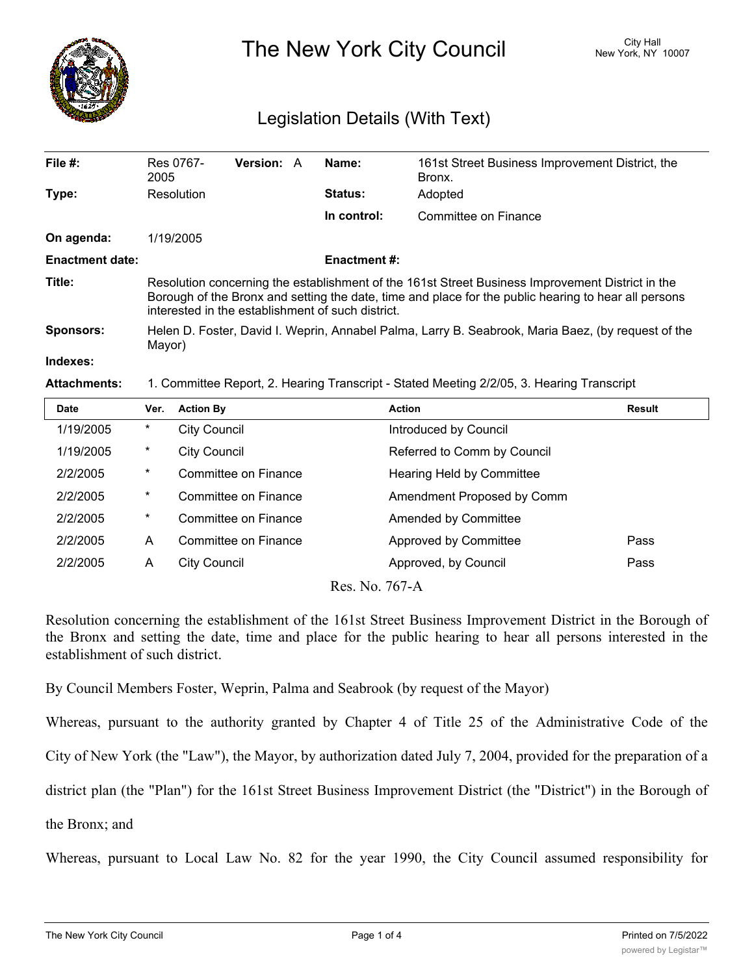

The New York City Council New York, NY 10007

## Legislation Details (With Text)

| File $#$ :             | Res 0767-<br>2005                                                                                                                                                                                                                                             | <b>Version: A</b> |  | Name:               | 161st Street Business Improvement District, the<br>Bronx. |  |  |
|------------------------|---------------------------------------------------------------------------------------------------------------------------------------------------------------------------------------------------------------------------------------------------------------|-------------------|--|---------------------|-----------------------------------------------------------|--|--|
| Type:                  | Resolution                                                                                                                                                                                                                                                    |                   |  | <b>Status:</b>      | Adopted                                                   |  |  |
|                        |                                                                                                                                                                                                                                                               |                   |  | In control:         | Committee on Finance                                      |  |  |
| On agenda:             | 1/19/2005                                                                                                                                                                                                                                                     |                   |  |                     |                                                           |  |  |
| <b>Enactment date:</b> |                                                                                                                                                                                                                                                               |                   |  | <b>Enactment #:</b> |                                                           |  |  |
| Title:                 | Resolution concerning the establishment of the 161st Street Business Improvement District in the<br>Borough of the Bronx and setting the date, time and place for the public hearing to hear all persons<br>interested in the establishment of such district. |                   |  |                     |                                                           |  |  |
| Sponsors:              | Helen D. Foster, David I. Weprin, Annabel Palma, Larry B. Seabrook, Maria Baez, (by request of the<br>Mayor)                                                                                                                                                  |                   |  |                     |                                                           |  |  |
| Indexes:               |                                                                                                                                                                                                                                                               |                   |  |                     |                                                           |  |  |
| <b>Attachments</b>     | 1. Committee Report 2. Hearing Transcript - Stated Meeting 2/2/05 3. Hearing Transcript                                                                                                                                                                       |                   |  |                     |                                                           |  |  |

**Attachments:** 1. Committee Report, 2. Hearing Transcript - Stated Meeting 2/2/05, 3. Hearing Transcript

| <b>Date</b>                             | Ver.     | <b>Action By</b>            | <b>Action</b>               | Result |  |  |  |  |
|-----------------------------------------|----------|-----------------------------|-----------------------------|--------|--|--|--|--|
| 1/19/2005                               | $\ast$   | <b>City Council</b>         | Introduced by Council       |        |  |  |  |  |
| 1/19/2005                               | $^\star$ | <b>City Council</b>         | Referred to Comm by Council |        |  |  |  |  |
| 2/2/2005                                | $^\star$ | Committee on Finance        | Hearing Held by Committee   |        |  |  |  |  |
| 2/2/2005                                | $^\star$ | Committee on Finance        | Amendment Proposed by Comm  |        |  |  |  |  |
| 2/2/2005                                | $^\star$ | Committee on Finance        | Amended by Committee        |        |  |  |  |  |
| 2/2/2005                                | A        | <b>Committee on Finance</b> | Approved by Committee       | Pass   |  |  |  |  |
| 2/2/2005                                | A        | <b>City Council</b>         | Approved, by Council        | Pass   |  |  |  |  |
| $D_{\text{max}}$ M <sub>a</sub> $7/7$ A |          |                             |                             |        |  |  |  |  |

Res. No. 767-A

Resolution concerning the establishment of the 161st Street Business Improvement District in the Borough of the Bronx and setting the date, time and place for the public hearing to hear all persons interested in the establishment of such district.

By Council Members Foster, Weprin, Palma and Seabrook (by request of the Mayor)

Whereas, pursuant to the authority granted by Chapter 4 of Title 25 of the Administrative Code of the

City of New York (the "Law"), the Mayor, by authorization dated July 7, 2004, provided for the preparation of a

district plan (the "Plan") for the 161st Street Business Improvement District (the "District") in the Borough of

the Bronx; and

Whereas, pursuant to Local Law No. 82 for the year 1990, the City Council assumed responsibility for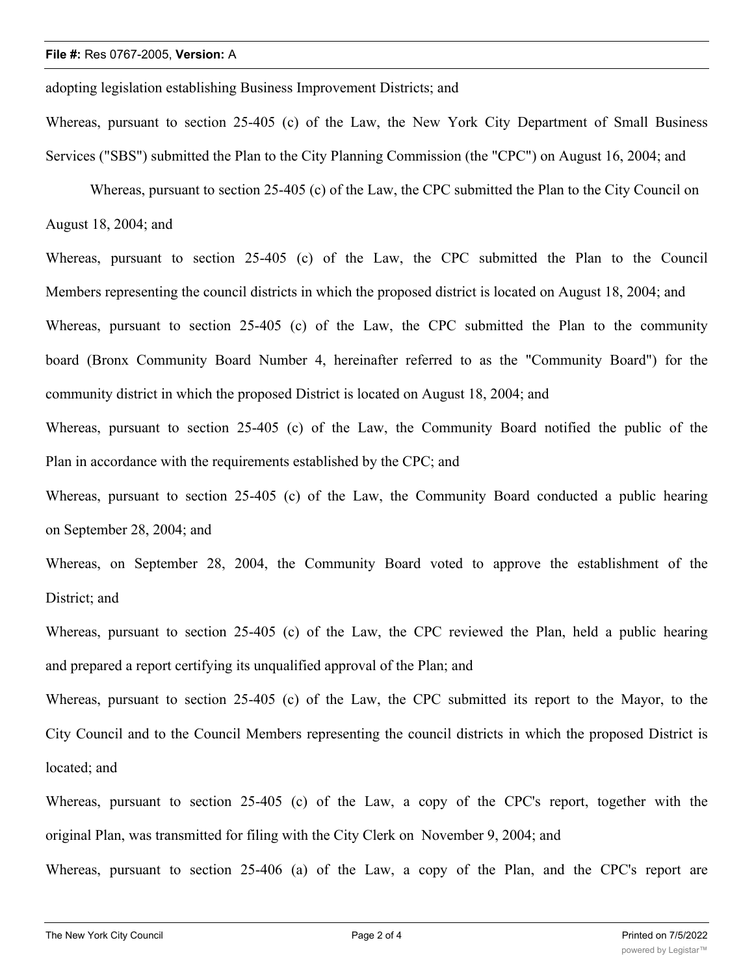adopting legislation establishing Business Improvement Districts; and

Whereas, pursuant to section 25-405 (c) of the Law, the New York City Department of Small Business Services ("SBS") submitted the Plan to the City Planning Commission (the "CPC") on August 16, 2004; and

 Whereas, pursuant to section 25-405 (c) of the Law, the CPC submitted the Plan to the City Council on August 18, 2004; and

Whereas, pursuant to section 25-405 (c) of the Law, the CPC submitted the Plan to the Council Members representing the council districts in which the proposed district is located on August 18, 2004; and Whereas, pursuant to section 25-405 (c) of the Law, the CPC submitted the Plan to the community board (Bronx Community Board Number 4, hereinafter referred to as the "Community Board") for the community district in which the proposed District is located on August 18, 2004; and

Whereas, pursuant to section 25-405 (c) of the Law, the Community Board notified the public of the Plan in accordance with the requirements established by the CPC; and

Whereas, pursuant to section 25-405 (c) of the Law, the Community Board conducted a public hearing on September 28, 2004; and

Whereas, on September 28, 2004, the Community Board voted to approve the establishment of the District; and

Whereas, pursuant to section 25-405 (c) of the Law, the CPC reviewed the Plan, held a public hearing and prepared a report certifying its unqualified approval of the Plan; and

Whereas, pursuant to section 25-405 (c) of the Law, the CPC submitted its report to the Mayor, to the City Council and to the Council Members representing the council districts in which the proposed District is located; and

Whereas, pursuant to section 25-405 (c) of the Law, a copy of the CPC's report, together with the original Plan, was transmitted for filing with the City Clerk on November 9, 2004; and

Whereas, pursuant to section 25-406 (a) of the Law, a copy of the Plan, and the CPC's report are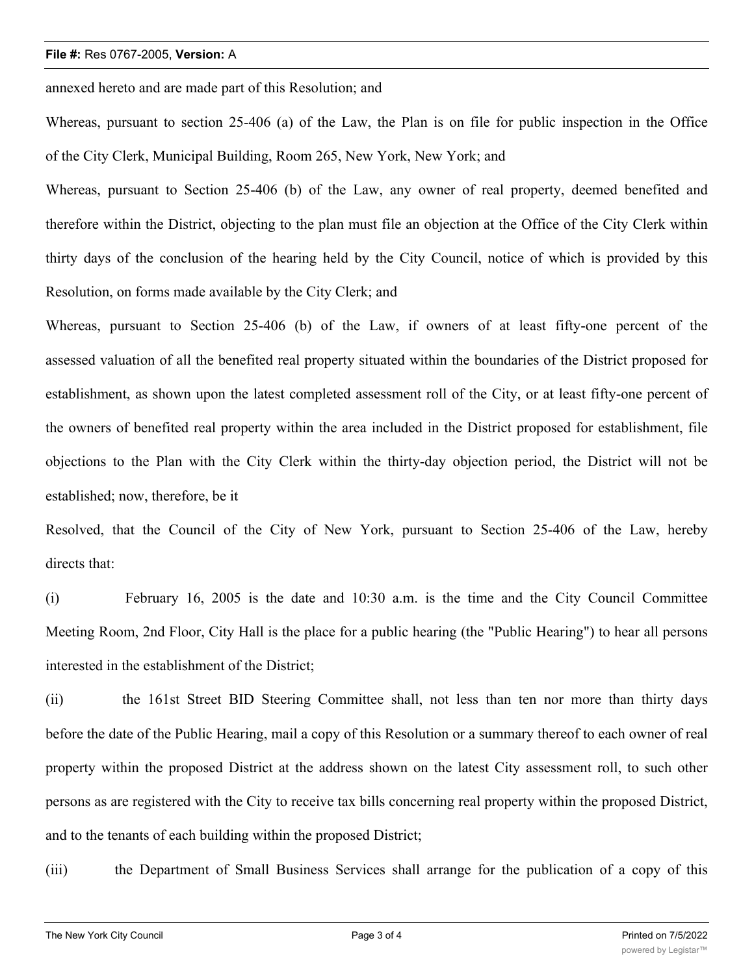## **File #:** Res 0767-2005, **Version:** A

annexed hereto and are made part of this Resolution; and

Whereas, pursuant to section 25-406 (a) of the Law, the Plan is on file for public inspection in the Office of the City Clerk, Municipal Building, Room 265, New York, New York; and

Whereas, pursuant to Section 25-406 (b) of the Law, any owner of real property, deemed benefited and therefore within the District, objecting to the plan must file an objection at the Office of the City Clerk within thirty days of the conclusion of the hearing held by the City Council, notice of which is provided by this Resolution, on forms made available by the City Clerk; and

Whereas, pursuant to Section 25-406 (b) of the Law, if owners of at least fifty-one percent of the assessed valuation of all the benefited real property situated within the boundaries of the District proposed for establishment, as shown upon the latest completed assessment roll of the City, or at least fifty-one percent of the owners of benefited real property within the area included in the District proposed for establishment, file objections to the Plan with the City Clerk within the thirty-day objection period, the District will not be established; now, therefore, be it

Resolved, that the Council of the City of New York, pursuant to Section 25-406 of the Law, hereby directs that:

(i) February 16, 2005 is the date and 10:30 a.m. is the time and the City Council Committee Meeting Room, 2nd Floor, City Hall is the place for a public hearing (the "Public Hearing") to hear all persons interested in the establishment of the District;

(ii) the 161st Street BID Steering Committee shall, not less than ten nor more than thirty days before the date of the Public Hearing, mail a copy of this Resolution or a summary thereof to each owner of real property within the proposed District at the address shown on the latest City assessment roll, to such other persons as are registered with the City to receive tax bills concerning real property within the proposed District, and to the tenants of each building within the proposed District;

(iii) the Department of Small Business Services shall arrange for the publication of a copy of this